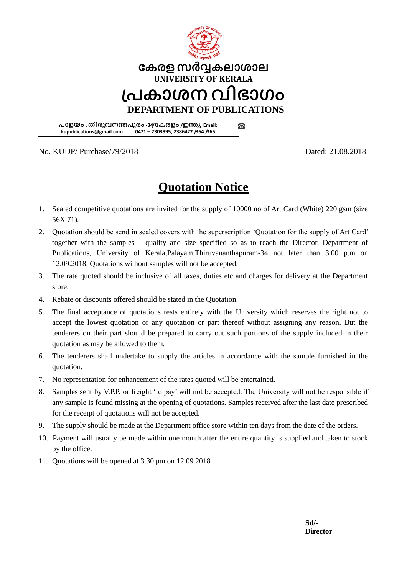

## **കേരളസര്വ്വേലാശാല UNIVERSITY OF KERALA പ്രോശന വിഭാഗം DEPARTMENT OF PUBLICATIONS**

**രാളയം , തിരുവനന്തരുരം -34/കേരളം /ഇന്തയ Email:**   $\mathbf{B}$ **kupublications@gmail.com 0471 – 2303995, 2386422 /364 /365**

No. KUDP/ Purchase/79/2018 Dated: 21.08.2018

## **Quotation Notice**

- 1. Sealed competitive quotations are invited for the supply of 10000 no of Art Card (White) 220 gsm (size 56X 71).
- 2. Quotation should be send in sealed covers with the superscription 'Quotation for the supply of Art Card' together with the samples – quality and size specified so as to reach the Director, Department of Publications, University of Kerala,Palayam,Thiruvananthapuram-34 not later than 3.00 p.m on 12.09.2018. Quotations without samples will not be accepted.
- 3. The rate quoted should be inclusive of all taxes, duties etc and charges for delivery at the Department store.
- 4. Rebate or discounts offered should be stated in the Quotation.
- 5. The final acceptance of quotations rests entirely with the University which reserves the right not to accept the lowest quotation or any quotation or part thereof without assigning any reason. But the tenderers on their part should be prepared to carry out such portions of the supply included in their quotation as may be allowed to them.
- 6. The tenderers shall undertake to supply the articles in accordance with the sample furnished in the quotation.
- 7. No representation for enhancement of the rates quoted will be entertained.
- 8. Samples sent by V.P.P. or freight 'to pay' will not be accepted. The University will not be responsible if any sample is found missing at the opening of quotations. Samples received after the last date prescribed for the receipt of quotations will not be accepted.
- 9. The supply should be made at the Department office store within ten days from the date of the orders.
- 10. Payment will usually be made within one month after the entire quantity is supplied and taken to stock by the office.
- 11. Quotations will be opened at 3.30 pm on 12.09.2018

**Sd/- Director**